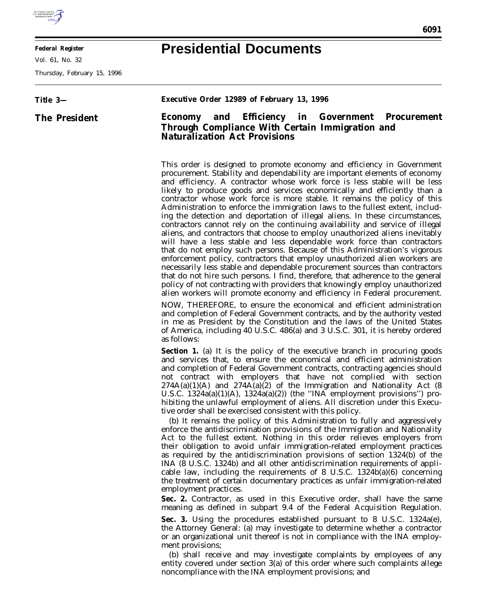

E

**Federal Register**

Vol. 61, No. 32

Thursday, February 15, 1996

## **Presidential Documents**

| Title 3-      | Executive Order 12989 of February 13, 1996                                                                                                                                                                                                                                                                                                                                                                                                                                                                                                                                                                                                                                                                                                                                                                                                                                                                                                                                                                                                                                                                                                                                                                                                                                                        |
|---------------|---------------------------------------------------------------------------------------------------------------------------------------------------------------------------------------------------------------------------------------------------------------------------------------------------------------------------------------------------------------------------------------------------------------------------------------------------------------------------------------------------------------------------------------------------------------------------------------------------------------------------------------------------------------------------------------------------------------------------------------------------------------------------------------------------------------------------------------------------------------------------------------------------------------------------------------------------------------------------------------------------------------------------------------------------------------------------------------------------------------------------------------------------------------------------------------------------------------------------------------------------------------------------------------------------|
| The President | Economy and Efficiency in Government Procurement<br>Through Compliance With Certain Immigration and<br>Naturalization Act Provisions                                                                                                                                                                                                                                                                                                                                                                                                                                                                                                                                                                                                                                                                                                                                                                                                                                                                                                                                                                                                                                                                                                                                                              |
|               | This order is designed to promote economy and efficiency in Government<br>procurement. Stability and dependability are important elements of economy<br>and efficiency. A contractor whose work force is less stable will be less<br>likely to produce goods and services economically and efficiently than a<br>contractor whose work force is more stable. It remains the policy of this<br>Administration to enforce the immigration laws to the fullest extent, includ-<br>ing the detection and deportation of illegal aliens. In these circumstances,<br>contractors cannot rely on the continuing availability and service of illegal<br>aliens, and contractors that choose to employ unauthorized aliens inevitably<br>will have a less stable and less dependable work force than contractors<br>that do not employ such persons. Because of this Administration's vigorous<br>enforcement policy, contractors that employ unauthorized alien workers are<br>necessarily less stable and dependable procurement sources than contractors<br>that do not hire such persons. I find, therefore, that adherence to the general<br>policy of not contracting with providers that knowingly employ unauthorized<br>alien workers will promote economy and efficiency in Federal procurement. |
|               | NOW, THEREFORE, to ensure the economical and efficient administration<br>and completion of Federal Government contracts, and by the authority vested<br>in me as President by the Constitution and the laws of the United States<br>of America, including 40 U.S.C. 486(a) and 3 U.S.C. 301, it is hereby ordered<br>as follows:                                                                                                                                                                                                                                                                                                                                                                                                                                                                                                                                                                                                                                                                                                                                                                                                                                                                                                                                                                  |
|               | Section 1. (a) It is the policy of the executive branch in procuring goods<br>and services that, to ensure the economical and efficient administration<br>and completion of Federal Government contracts, contracting agencies should<br>not contract with employers that have not complied with section<br>$274A(a)(1)(A)$ and $274A(a)(2)$ of the Immigration and Nationality Act (8<br>U.S.C. $1324a(a)(1)(A)$ , $1324a(a)(2)$ ) (the "INA employment provisions") pro-<br>hibiting the unlawful employment of aliens. All discretion under this Execu-<br>tive order shall be exercised consistent with this policy.<br>(b) It remains the policy of this Administration to fully and aggressively<br>enforce the antidiscrimination provisions of the Immigration and Nationality<br>Act to the fullest extent. Nothing in this order relieves employers from<br>their obligation to avoid unfair immigration-related employment practices<br>as required by the antidiscrimination provisions of section $1324(b)$ of the<br>INA (8 U.S.C. 1324b) and all other antidiscrimination requirements of appli-<br>cable law, including the requirements of $8 \text{ U.S.C. } 1324b(a)(6)$ concerning                                                                                            |
|               | the treatment of certain documentary practices as unfair immigration-related<br>employment practices.<br>Sec. 2. Contractor, as used in this Executive order, shall have the same<br>meaning as defined in subpart 9.4 of the Federal Acquisition Regulation.                                                                                                                                                                                                                                                                                                                                                                                                                                                                                                                                                                                                                                                                                                                                                                                                                                                                                                                                                                                                                                     |
|               | Sec. 3. Using the procedures established pursuant to 8 U.S.C. 1324a(e),<br>the Attorney General: (a) may investigate to determine whether a contractor<br>or an organizational unit thereof is not in compliance with the INA employ-<br>ment provisions;                                                                                                                                                                                                                                                                                                                                                                                                                                                                                                                                                                                                                                                                                                                                                                                                                                                                                                                                                                                                                                         |
|               | (b) shall receive and may investigate complaints by employees of any<br>entity covered under section 3(a) of this order where such complaints allege<br>noncompliance with the INA employment provisions; and                                                                                                                                                                                                                                                                                                                                                                                                                                                                                                                                                                                                                                                                                                                                                                                                                                                                                                                                                                                                                                                                                     |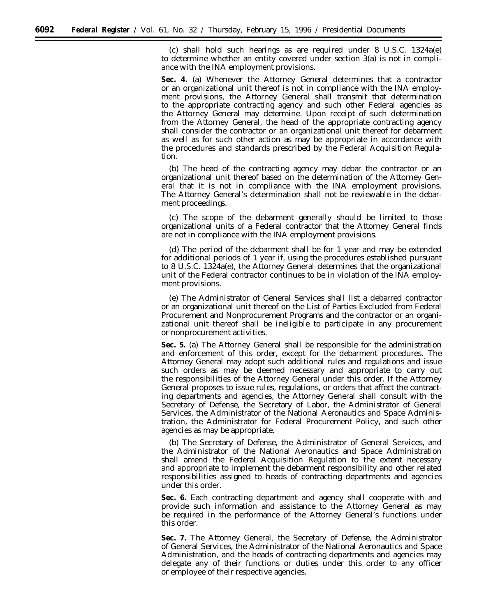(c) shall hold such hearings as are required under 8 U.S.C. 1324a(e) to determine whether an entity covered under section 3(a) is not in compliance with the INA employment provisions.

**Sec. 4.** (a) Whenever the Attorney General determines that a contractor or an organizational unit thereof is not in compliance with the INA employment provisions, the Attorney General shall transmit that determination to the appropriate contracting agency and such other Federal agencies as the Attorney General may determine. Upon receipt of such determination from the Attorney General, the head of the appropriate contracting agency shall consider the contractor or an organizational unit thereof for debarment as well as for such other action as may be appropriate in accordance with the procedures and standards prescribed by the Federal Acquisition Regulation.

(b) The head of the contracting agency may debar the contractor or an organizational unit thereof based on the determination of the Attorney General that it is not in compliance with the INA employment provisions. The Attorney General's determination shall not be reviewable in the debarment proceedings.

(c) The scope of the debarment generally should be limited to those organizational units of a Federal contractor that the Attorney General finds are not in compliance with the INA employment provisions.

(d) The period of the debarment shall be for 1 year and may be extended for additional periods of 1 year if, using the procedures established pursuant to 8 U.S.C. 1324a(e), the Attorney General determines that the organizational unit of the Federal contractor continues to be in violation of the INA employment provisions.

(e) The Administrator of General Services shall list a debarred contractor or an organizational unit thereof on the List of Parties Excluded from Federal Procurement and Nonprocurement Programs and the contractor or an organizational unit thereof shall be ineligible to participate in any procurement or nonprocurement activities.

**Sec. 5.** (a) The Attorney General shall be responsible for the administration and enforcement of this order, except for the debarment procedures. The Attorney General may adopt such additional rules and regulations and issue such orders as may be deemed necessary and appropriate to carry out the responsibilities of the Attorney General under this order. If the Attorney General proposes to issue rules, regulations, or orders that affect the contracting departments and agencies, the Attorney General shall consult with the Secretary of Defense, the Secretary of Labor, the Administrator of General Services, the Administrator of the National Aeronautics and Space Administration, the Administrator for Federal Procurement Policy, and such other agencies as may be appropriate.

(b) The Secretary of Defense, the Administrator of General Services, and the Administrator of the National Aeronautics and Space Administration shall amend the Federal Acquisition Regulation to the extent necessary and appropriate to implement the debarment responsibility and other related responsibilities assigned to heads of contracting departments and agencies under this order.

**Sec. 6.** Each contracting department and agency shall cooperate with and provide such information and assistance to the Attorney General as may be required in the performance of the Attorney General's functions under this order.

**Sec. 7.** The Attorney General, the Secretary of Defense, the Administrator of General Services, the Administrator of the National Aeronautics and Space Administration, and the heads of contracting departments and agencies may delegate any of their functions or duties under this order to any officer or employee of their respective agencies.